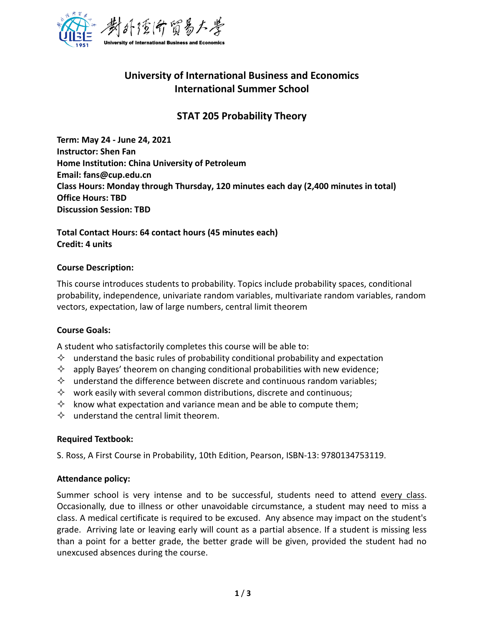

# **University of International Business and Economics International Summer School**

# **STAT 205 Probability Theory**

**Term: May 24 - June 24, 2021 Instructor: Shen Fan Home Institution: China University of Petroleum Email: fans@cup.edu.cn Class Hours: Monday through Thursday, 120 minutes each day (2,400 minutes in total) Office Hours: TBD Discussion Session: TBD** 

## **Total Contact Hours: 64 contact hours (45 minutes each) Credit: 4 units**

#### **Course Description:**

This course introduces students to probability. Topics include probability spaces, conditional probability, independence, univariate random variables, multivariate random variables, random vectors, expectation, law of large numbers, central limit theorem

### **Course Goals:**

A student who satisfactorily completes this course will be able to:

- $\Diamond$  understand the basic rules of probability conditional probability and expectation
- $\Diamond$  apply Bayes' theorem on changing conditional probabilities with new evidence;
- $\Diamond$  understand the difference between discrete and continuous random variables;
- $\diamond$  work easily with several common distributions, discrete and continuous;
- $\Diamond$  know what expectation and variance mean and be able to compute them;
- $\Diamond$  understand the central limit theorem.

#### **Required Textbook:**

S. Ross, A First Course in Probability, 10th Edition, Pearson, ISBN-13: 9780134753119.

#### **Attendance policy:**

Summer school is very intense and to be successful, students need to attend every class. Occasionally, due to illness or other unavoidable circumstance, a student may need to miss a class. A medical certificate is required to be excused. Any absence may impact on the student's grade. Arriving late or leaving early will count as a partial absence. If a student is missing less than a point for a better grade, the better grade will be given, provided the student had no unexcused absences during the course.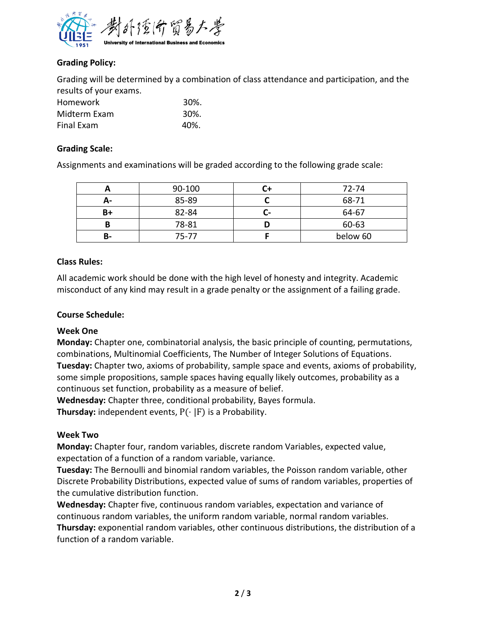

# **Grading Policy:**

Grading will be determined by a combination of class attendance and participation, and the results of your exams.

| <b>Homework</b>   | 30%. |
|-------------------|------|
| Midterm Exam      | 30%. |
| <b>Final Exam</b> | 40%. |

## **Grading Scale:**

Assignments and examinations will be graded according to the following grade scale:

|    | 90-100 |   | 72-74    |
|----|--------|---|----------|
| А- | 85-89  |   | 68-71    |
| B+ | 82-84  | - | 64-67    |
| В  | 78-81  |   | 60-63    |
| В- | 75-77  |   | below 60 |

### **Class Rules:**

All academic work should be done with the high level of honesty and integrity. Academic misconduct of any kind may result in a grade penalty or the assignment of a failing grade.

### **Course Schedule:**

### **Week One**

**Monday:** Chapter one, combinatorial analysis, the basic principle of counting, permutations, combinations, Multinomial Coefficients, The Number of Integer Solutions of Equations. **Tuesday:** Chapter two, axioms of probability, sample space and events, axioms of probability, some simple propositions, sample spaces having equally likely outcomes, probability as a continuous set function, probability as a measure of belief.

**Wednesday:** Chapter three, conditional probability, Bayes formula.

**Thursday:** independent events, P(⋅ |F) is a Probability.

# **Week Two**

**Monday:** Chapter four, random variables, discrete random Variables, expected value, expectation of a function of a random variable, variance.

**Tuesday:** The Bernoulli and binomial random variables, the Poisson random variable, other Discrete Probability Distributions, expected value of sums of random variables, properties of the cumulative distribution function.

**Wednesday:** Chapter five, continuous random variables, expectation and variance of continuous random variables, the uniform random variable, normal random variables. **Thursday:** exponential random variables, other continuous distributions, the distribution of a function of a random variable.